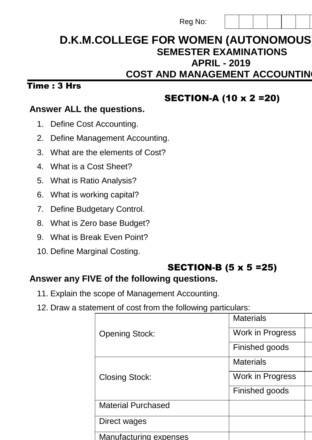| Reg No: |  |  |
|---------|--|--|
|---------|--|--|

# **D.K.M.COLLEGE FOR WOMEN (AUTONOMOUS) SEMESTER EXAMINATIONS APRIL - 2019 COST AND MANAGEMENT ACCOUNTING**

### $Time: 3 Hrs$

## SECTION-A (10 x 2 =20)

### **Answer ALL the questions.**

- 1. Define Cost Accounting.
- 2. Define Management Accounting.
- 3. What are the elements of Cost?
- 4. What is a Cost Sheet?
- 5. What is Ratio Analysis?
- 6. What is working capital?
- 7. Define Budgetary Control.
- 8. What is Zero base Budget?
- 9. What is Break Even Point?
- 10. Define Marginal Costing.

## SECTION-B (5 x 5 =25)

 $M<sub>other</sub>$ 

## **Answer any FIVE of the following questions.**

- 11. Explain the scope of Management Accounting.
- 12. Draw a statement of cost from the following particulars:

|                               | <u>ivialenais</u>       |
|-------------------------------|-------------------------|
| <b>Opening Stock:</b>         | <b>Work in Progress</b> |
|                               | Finished goods          |
|                               | <b>Materials</b>        |
| <b>Closing Stock:</b>         | Work in Progress        |
|                               | Finished goods          |
| <b>Material Purchased</b>     |                         |
| Direct wages                  |                         |
| <b>Manufacturing expenses</b> |                         |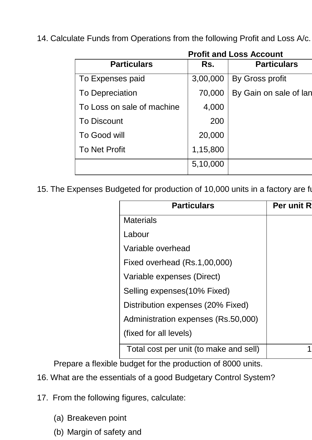14. Calculate Funds from Operations from the following Profit and Loss A/c.

|                            |          | <b>Profit and Loss Account</b> |
|----------------------------|----------|--------------------------------|
| <b>Particulars</b>         | Rs.      | <b>Particulars</b>             |
| To Expenses paid           | 3,00,000 | By Gross profit                |
| <b>To Depreciation</b>     | 70,000   | By Gain on sale of lan         |
| To Loss on sale of machine | 4,000    |                                |
| <b>To Discount</b>         | 200      |                                |
| To Good will               | 20,000   |                                |
| <b>To Net Profit</b>       | 1,15,800 |                                |
|                            | 5,10,000 |                                |
|                            |          |                                |

15. The Expenses Budgeted for production of 10,000 units in a factory are fu

| <b>Particulars</b>                     | <b>Per unit R</b> |
|----------------------------------------|-------------------|
| <b>Materials</b>                       |                   |
| Labour                                 |                   |
| Variable overhead                      |                   |
| Fixed overhead (Rs.1,00,000)           |                   |
| Variable expenses (Direct)             |                   |
| Selling expenses (10% Fixed)           |                   |
| Distribution expenses (20% Fixed)      |                   |
| Administration expenses (Rs.50,000)    |                   |
| (fixed for all levels)                 |                   |
| Total cost per unit (to make and sell) |                   |
|                                        |                   |

Prepare a flexible budget for the production of 8000 units.

- 16. What are the essentials of a good Budgetary Control System?
- 17. From the following figures, calculate:
	- (a) Breakeven point
	- (b) Margin of safety and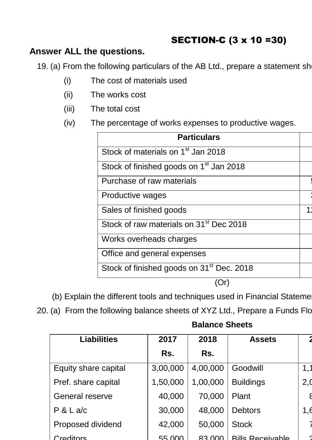# SECTION-C (3 x 10 =30)

### **Answer ALL the questions.**

19. (a) From the following particulars of the AB Ltd., prepare a statement sh

- (i) The cost of materials used
- (ii) The works cost
- (iii) The total cost
- (iv) The percentage of works expenses to productive wages.

| <b>Particulars</b>                                    |  |
|-------------------------------------------------------|--|
| Stock of materials on 1 <sup>st</sup> Jan 2018        |  |
| Stock of finished goods on 1 <sup>st</sup> Jan 2018   |  |
| Purchase of raw materials                             |  |
| Productive wages                                      |  |
| Sales of finished goods                               |  |
| Stock of raw materials on 31 <sup>st</sup> Dec 2018   |  |
| Works overheads charges                               |  |
| Office and general expenses                           |  |
| Stock of finished goods on 31 <sup>st</sup> Dec. 2018 |  |
|                                                       |  |

- (b) Explain the different tools and techniques used in Financial Stateme
- 20. (a) From the following balance sheets of XYZ Ltd., Prepare a Funds Flo

### **Balance Sheets**

| <b>Liabilities</b>     | 2017     | 2018     | <b>Assets</b>           |     |
|------------------------|----------|----------|-------------------------|-----|
|                        | Rs.      | Rs.      |                         |     |
| Equity share capital   | 3,00,000 | 4,00,000 | Goodwill                | 1.1 |
| Pref. share capital    | 1,50,000 | 1,00,000 | <b>Buildings</b>        | 2,0 |
| <b>General reserve</b> | 40,000   | 70,000   | Plant                   |     |
| P & L a/c              | 30,000   | 48,000   | <b>Debtors</b>          | 1,6 |
| Proposed dividend      | 42,000   | 50,000   | <b>Stock</b>            |     |
| Creditors              | 55.000   | 83.000   | <b>Rills Receivable</b> |     |